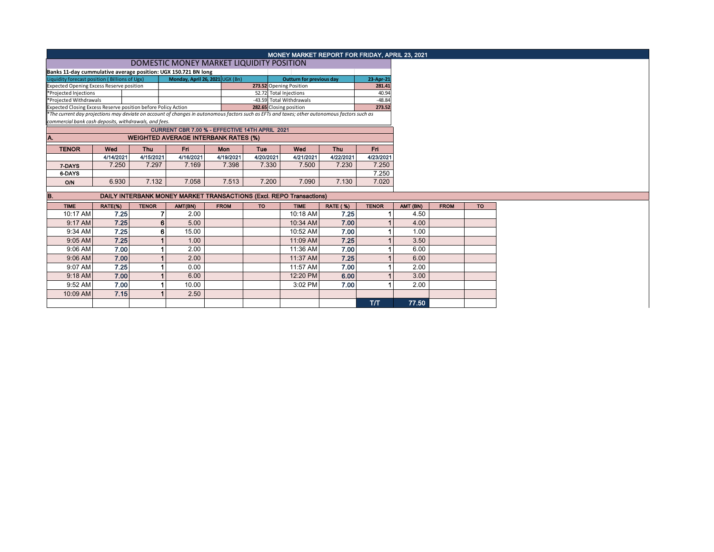|                                                                                                                                                                                                                |           |              |                                                |                                 |                         | MONEY MARKET REPORT FOR FRIDAY, APRIL 23, 2021                      |                 |              |          |             |           |
|----------------------------------------------------------------------------------------------------------------------------------------------------------------------------------------------------------------|-----------|--------------|------------------------------------------------|---------------------------------|-------------------------|---------------------------------------------------------------------|-----------------|--------------|----------|-------------|-----------|
|                                                                                                                                                                                                                |           |              | DOMESTIC MONEY MARKET LIQUIDITY POSITION       |                                 |                         |                                                                     |                 |              |          |             |           |
| Banks 11-day cummulative average position: UGX 150.721 BN long                                                                                                                                                 |           |              |                                                |                                 |                         |                                                                     |                 |              |          |             |           |
| Liquidity forecast position (Billions of Ugx)                                                                                                                                                                  |           |              |                                                | Monday, April 26, 2021 UGX (Bn) |                         | <b>Outturn for previous day</b>                                     |                 | 23-Apr-21    |          |             |           |
| <b>Expected Opening Excess Reserve position</b>                                                                                                                                                                |           |              |                                                |                                 |                         | 273.52 Opening Position                                             |                 | 281.41       |          |             |           |
| *Projected Injections                                                                                                                                                                                          |           |              |                                                |                                 |                         | 52.72 Total Injections                                              |                 | 40.94        |          |             |           |
| *Projected Withdrawals                                                                                                                                                                                         |           |              |                                                |                                 |                         | -43.59 Total Withdrawals                                            |                 | $-48.84$     |          |             |           |
| Expected Closing Excess Reserve position before Policy Action<br>*The current day projections may deviate on account of changes in autonomous factors such as EFTs and taxes; other autonomous factors such as |           |              |                                                |                                 | 282.65 Closing position |                                                                     |                 | 273.52       |          |             |           |
| commercial bank cash deposits, withdrawals, and fees.                                                                                                                                                          |           |              |                                                |                                 |                         |                                                                     |                 |              |          |             |           |
|                                                                                                                                                                                                                |           |              | CURRENT CBR 7.00 % - EFFECTIVE 14TH APRIL 2021 |                                 |                         |                                                                     |                 |              |          |             |           |
| A.                                                                                                                                                                                                             |           |              | <b>WEIGHTED AVERAGE INTERBANK RATES (%)</b>    |                                 |                         |                                                                     |                 |              |          |             |           |
| <b>TENOR</b>                                                                                                                                                                                                   | Wed       | <b>Thu</b>   | Fri                                            | Mon                             | Tue                     | Wed                                                                 | <b>Thu</b>      | Fri.         |          |             |           |
|                                                                                                                                                                                                                | 4/14/2021 | 4/15/2021    | 4/16/2021                                      | 4/19/2021                       | 4/20/2021               | 4/21/2021                                                           | 4/22/2021       | 4/23/2021    |          |             |           |
| 7-DAYS                                                                                                                                                                                                         | 7.250     | 7.297        | 7.169                                          | 7.398                           | 7.330                   | 7.500                                                               | 7.230           | 7.250        |          |             |           |
| 6-DAYS                                                                                                                                                                                                         |           |              |                                                |                                 |                         |                                                                     |                 | 7.250        |          |             |           |
| O/N                                                                                                                                                                                                            | 6.930     | 7.132        | 7.058                                          | 7.513                           | 7.200                   | 7.090                                                               | 7.130           | 7.020        |          |             |           |
| B.                                                                                                                                                                                                             |           |              |                                                |                                 |                         | DAILY INTERBANK MONEY MARKET TRANSACTIONS (Excl. REPO Transactions) |                 |              |          |             |           |
|                                                                                                                                                                                                                |           |              |                                                |                                 |                         |                                                                     |                 |              |          |             |           |
| <b>TIME</b>                                                                                                                                                                                                    | RATE(%)   | <b>TENOR</b> | AMT(BN)                                        | <b>FROM</b>                     | <b>TO</b>               | <b>TIME</b>                                                         | <b>RATE (%)</b> | <b>TENOR</b> | AMT (BN) | <b>FROM</b> | <b>TO</b> |
| 10:17 AM                                                                                                                                                                                                       | 7.25      | 7            | 2.00                                           |                                 |                         | 10:18 AM                                                            | 7.25            |              | 4.50     |             |           |
| 9:17 AM                                                                                                                                                                                                        | 7.25      | 6            | 5.00                                           |                                 |                         | 10:34 AM                                                            | 7.00            |              | 4.00     |             |           |
| 9:34 AM                                                                                                                                                                                                        | 7.25      | 6            | 15.00                                          |                                 |                         | 10:52 AM                                                            | 7.00            |              | 1.00     |             |           |
| 9:05 AM                                                                                                                                                                                                        | 7.25      |              | 1.00                                           |                                 |                         | 11:09 AM                                                            | 7.25            |              | 3.50     |             |           |
| 9:06 AM                                                                                                                                                                                                        | 7.00      |              | 2.00                                           |                                 |                         | 11:36 AM                                                            | 7.00            |              | 6.00     |             |           |
| 9:06 AM                                                                                                                                                                                                        | 7.00      |              | 2.00                                           |                                 |                         | 11:37 AM                                                            | 7.25            |              | 6.00     |             |           |
| 9:07 AM                                                                                                                                                                                                        | 7.25      |              | 0.00                                           |                                 |                         | 11:57 AM                                                            | 7.00            |              | 2.00     |             |           |
| 9:18 AM                                                                                                                                                                                                        | 7.00      |              | 6.00                                           |                                 |                         | 12:20 PM                                                            | 6.00            |              | 3.00     |             |           |
| 9:52 AM                                                                                                                                                                                                        | 7.00      |              | 10.00                                          |                                 |                         | 3:02 PM                                                             | 7.00            |              | 2.00     |             |           |
| 10:09 AM                                                                                                                                                                                                       | 7.15      |              | 2.50                                           |                                 |                         |                                                                     |                 |              |          |             |           |
|                                                                                                                                                                                                                |           |              |                                                |                                 |                         |                                                                     |                 | T/T          | 77.50    |             |           |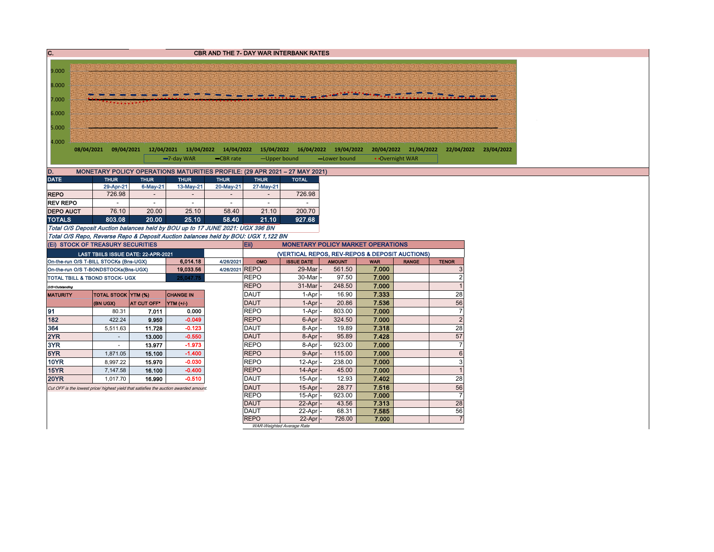| 9.000<br>8.000<br>7.000<br>6.000<br>5.000<br>4.000<br>08/04/2021 09/04/2021 12/04/2021 13/04/2022 14/04/2022 15/04/2022 16/04/2022 19/04/2022<br>20/04/2022 21/04/2022<br>22/04/2022 23/04/2022<br>-7-day WAR<br>-CBR rate<br>-Upper bound<br>-Lower bound<br>• Overnight WAR<br>D.<br>MONETARY POLICY OPERATIONS MATURITIES PROFILE: (29 APR 2021 - 27 MAY 2021)<br><b>DATE</b><br><b>THUR</b><br><b>THUR</b><br><b>THUR</b><br><b>THUR</b><br><b>THUR</b><br><b>TOTAL</b><br>29-Apr-21<br>6-May-21<br>13-May-21<br>20-May-21<br>27-May-21<br>726.98<br>726.98<br><b>REPO</b><br><b>REV REPO</b><br>$\overline{\phantom{a}}$<br>$\sim$<br>$\sim$<br>$\overline{\phantom{a}}$ |
|-------------------------------------------------------------------------------------------------------------------------------------------------------------------------------------------------------------------------------------------------------------------------------------------------------------------------------------------------------------------------------------------------------------------------------------------------------------------------------------------------------------------------------------------------------------------------------------------------------------------------------------------------------------------------------|
|                                                                                                                                                                                                                                                                                                                                                                                                                                                                                                                                                                                                                                                                               |
|                                                                                                                                                                                                                                                                                                                                                                                                                                                                                                                                                                                                                                                                               |
|                                                                                                                                                                                                                                                                                                                                                                                                                                                                                                                                                                                                                                                                               |
|                                                                                                                                                                                                                                                                                                                                                                                                                                                                                                                                                                                                                                                                               |
|                                                                                                                                                                                                                                                                                                                                                                                                                                                                                                                                                                                                                                                                               |
|                                                                                                                                                                                                                                                                                                                                                                                                                                                                                                                                                                                                                                                                               |
|                                                                                                                                                                                                                                                                                                                                                                                                                                                                                                                                                                                                                                                                               |
|                                                                                                                                                                                                                                                                                                                                                                                                                                                                                                                                                                                                                                                                               |
|                                                                                                                                                                                                                                                                                                                                                                                                                                                                                                                                                                                                                                                                               |
|                                                                                                                                                                                                                                                                                                                                                                                                                                                                                                                                                                                                                                                                               |
|                                                                                                                                                                                                                                                                                                                                                                                                                                                                                                                                                                                                                                                                               |
|                                                                                                                                                                                                                                                                                                                                                                                                                                                                                                                                                                                                                                                                               |
|                                                                                                                                                                                                                                                                                                                                                                                                                                                                                                                                                                                                                                                                               |
|                                                                                                                                                                                                                                                                                                                                                                                                                                                                                                                                                                                                                                                                               |
|                                                                                                                                                                                                                                                                                                                                                                                                                                                                                                                                                                                                                                                                               |
|                                                                                                                                                                                                                                                                                                                                                                                                                                                                                                                                                                                                                                                                               |
| 20.00<br>25.10<br>200.70<br><b>DEPO AUCT</b><br>76.10<br>58.40<br>21.10                                                                                                                                                                                                                                                                                                                                                                                                                                                                                                                                                                                                       |
| <b>TOTALS</b><br>803.08<br>20.00<br>25.10<br>58.40<br>927.68<br>21.10                                                                                                                                                                                                                                                                                                                                                                                                                                                                                                                                                                                                         |
| Total O/S Deposit Auction balances held by BOU up to 17 JUNE 2021: UGX 396 BN                                                                                                                                                                                                                                                                                                                                                                                                                                                                                                                                                                                                 |
| Total O/S Repo, Reverse Repo & Deposit Auction balances held by BOU: UGX 1,122 BN                                                                                                                                                                                                                                                                                                                                                                                                                                                                                                                                                                                             |
| (Ei) STOCK OF TREASURY SECURITIES<br>Eii)<br><b>MONETARY POLICY MARKET OPERATIONS</b>                                                                                                                                                                                                                                                                                                                                                                                                                                                                                                                                                                                         |
| (VERTICAL REPOS, REV-REPOS & DEPOSIT AUCTIONS)<br>LAST TBIILS ISSUE DATE: 22-APR-2021                                                                                                                                                                                                                                                                                                                                                                                                                                                                                                                                                                                         |
| 6,014.18<br>4/26/2021<br><b>ISSUE DATE</b><br>On-the-run O/S T-BILL STOCKs (Bns-UGX)<br><b>AMOUNT</b><br><b>RANGE</b><br>OMO<br><b>WAR</b><br><b>TENOR</b>                                                                                                                                                                                                                                                                                                                                                                                                                                                                                                                    |
| 4/26/2021 REPO<br>29-Mar<br>7.000<br>561.50<br>19,033.56<br>On-the-run O/S T-BONDSTOCKs(Bns-UGX)                                                                                                                                                                                                                                                                                                                                                                                                                                                                                                                                                                              |
| <b>REPO</b><br>7.000<br>30-Mar<br>97.50<br>TOTAL TBILL & TBOND STOCK- UGX<br>25,047.75                                                                                                                                                                                                                                                                                                                                                                                                                                                                                                                                                                                        |
| <b>REPO</b><br>7.000<br>31-Mar<br>248.50<br>O/S=Outstanding                                                                                                                                                                                                                                                                                                                                                                                                                                                                                                                                                                                                                   |
| 28<br><b>DAUT</b><br>7.333<br>16.90<br>TOTAL STOCK YTM (%)<br><b>CHANGE IN</b><br>1-Apr<br><b>MATURITY</b>                                                                                                                                                                                                                                                                                                                                                                                                                                                                                                                                                                    |
| 56<br>7.536<br><b>DAUT</b><br>20.86<br>(BN UGX)<br>AT CUT OFF*<br>1-Apr<br>$\vert$ YTM $(+/-)$                                                                                                                                                                                                                                                                                                                                                                                                                                                                                                                                                                                |
| 91<br>7.000<br><b>REPO</b><br>0.000<br>803.00<br>80.31<br>7.011<br>1-Apr                                                                                                                                                                                                                                                                                                                                                                                                                                                                                                                                                                                                      |
| 182<br>$-0.049$<br><b>REPO</b><br>7.000<br>422.24<br>9.950<br>324.50<br>6-Apr                                                                                                                                                                                                                                                                                                                                                                                                                                                                                                                                                                                                 |
| 28<br>364<br>DAUT<br>19.89<br>7.318<br>$-0.123$<br>5,511.63<br>11.728<br>8-Apr                                                                                                                                                                                                                                                                                                                                                                                                                                                                                                                                                                                                |
| 57<br>2YR<br><b>DAUT</b><br>$-0.550$<br>95.89<br>7.428<br>13.000<br>8-Apr<br>$\sim$                                                                                                                                                                                                                                                                                                                                                                                                                                                                                                                                                                                           |
| <b>REPO</b><br>3YR<br>$-1.973$<br>923.00<br>7.000<br>13.977<br>8-Apr<br>$\sim$                                                                                                                                                                                                                                                                                                                                                                                                                                                                                                                                                                                                |
| 5YR<br><b>REPO</b><br>$-1.400$<br>115.00<br>7.000<br>1,871.05<br>15,100<br>9-Apr                                                                                                                                                                                                                                                                                                                                                                                                                                                                                                                                                                                              |
| <b>REPO</b><br><b>10YR</b><br>238.00<br>7.000<br>8,997.22<br>15.970<br>$-0.030$<br>12-Apr                                                                                                                                                                                                                                                                                                                                                                                                                                                                                                                                                                                     |
| <b>REPO</b><br><b>15YR</b><br>$-0.400$<br>45.00<br>7.000<br>7,147.58<br>16.100<br>14-Apr                                                                                                                                                                                                                                                                                                                                                                                                                                                                                                                                                                                      |
| <b>20YR</b><br>DAUT<br>7.402<br>28<br>$-0.510$<br>12.93<br>1.017.70<br>16.990<br>15-Apr                                                                                                                                                                                                                                                                                                                                                                                                                                                                                                                                                                                       |
| 56<br><b>DAUT</b><br>28.77<br>7.516<br>15-Apr<br>Cut OFF is the lowest price/ highest yield that satisfies the auction awarded amount.<br><b>REPO</b><br>7.000                                                                                                                                                                                                                                                                                                                                                                                                                                                                                                                |
| 923.00<br>15-Apr<br>28<br><b>DAUT</b><br>7.313<br>22-Apr<br>43.56                                                                                                                                                                                                                                                                                                                                                                                                                                                                                                                                                                                                             |
| 56<br><b>DAUT</b><br>7.585<br>22-Apr<br>68.31                                                                                                                                                                                                                                                                                                                                                                                                                                                                                                                                                                                                                                 |
| <b>REPO</b><br>7.000<br>22-Apr<br>726.00                                                                                                                                                                                                                                                                                                                                                                                                                                                                                                                                                                                                                                      |
| WAR-Weighted Average Rate                                                                                                                                                                                                                                                                                                                                                                                                                                                                                                                                                                                                                                                     |